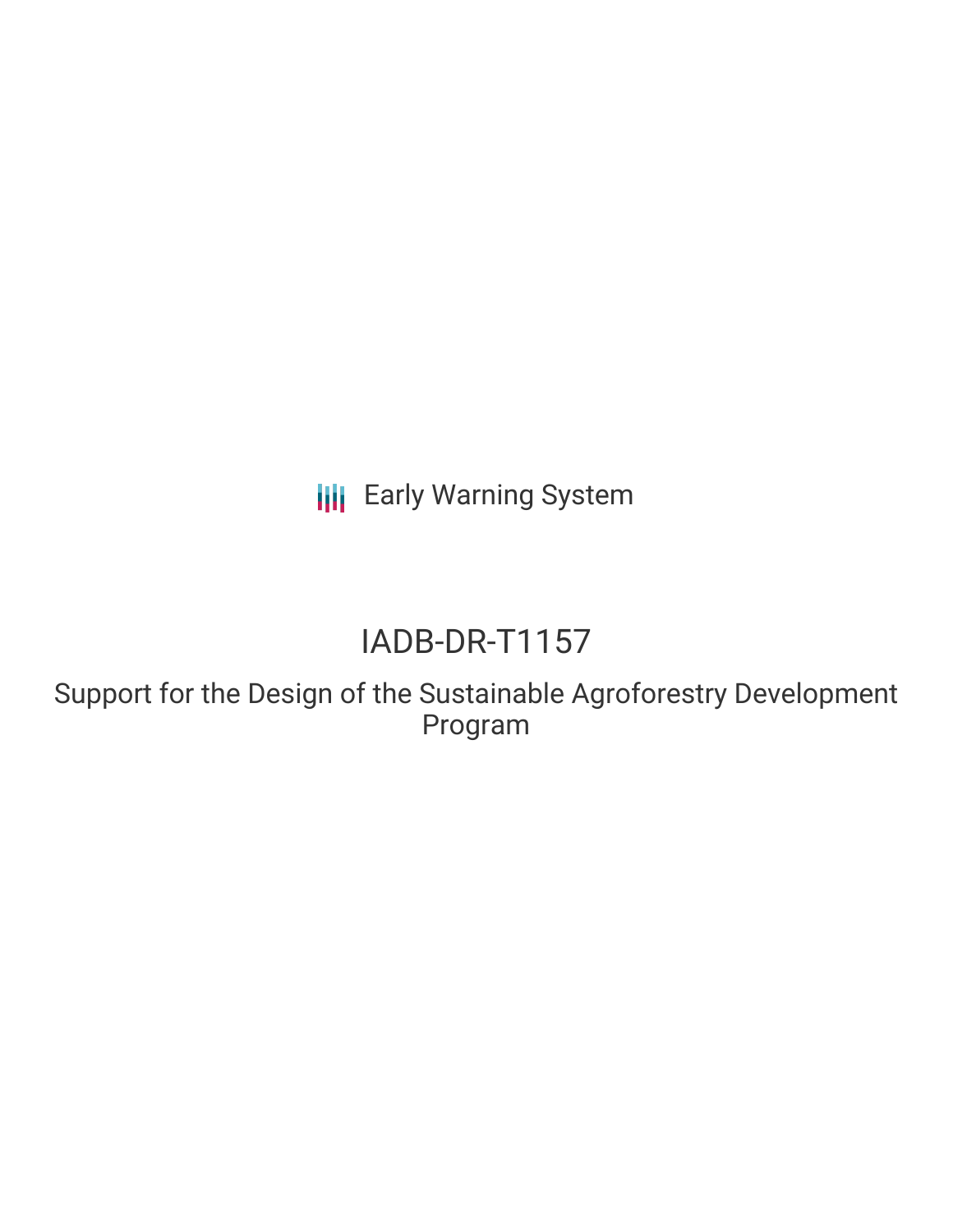**III** Early Warning System

# IADB-DR-T1157

Support for the Design of the Sustainable Agroforestry Development Program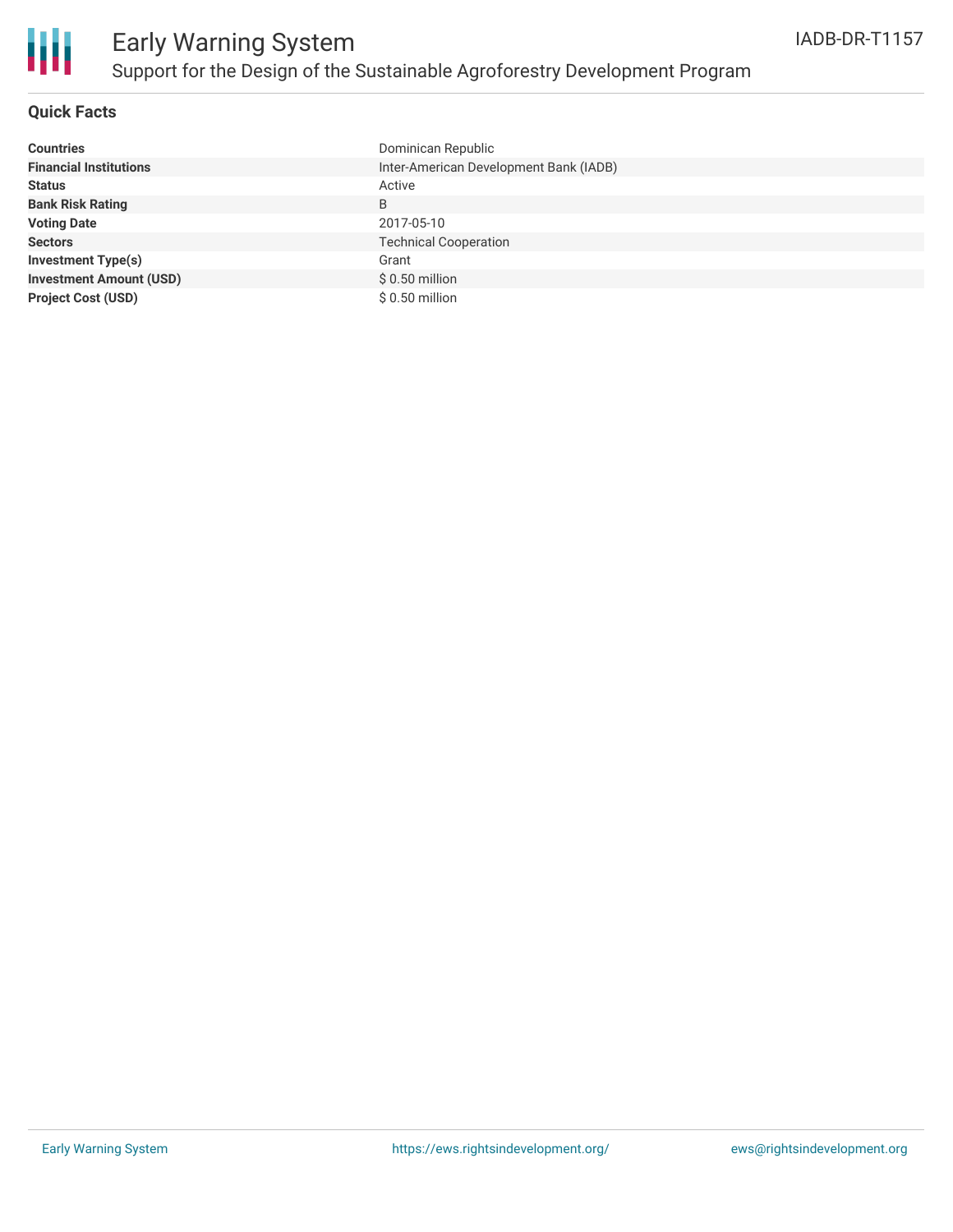

#### **Quick Facts**

| <b>Countries</b>               | Dominican Republic                     |
|--------------------------------|----------------------------------------|
| <b>Financial Institutions</b>  | Inter-American Development Bank (IADB) |
| <b>Status</b>                  | Active                                 |
| <b>Bank Risk Rating</b>        | B                                      |
| <b>Voting Date</b>             | 2017-05-10                             |
| <b>Sectors</b>                 | <b>Technical Cooperation</b>           |
| <b>Investment Type(s)</b>      | Grant                                  |
| <b>Investment Amount (USD)</b> | $$0.50$ million                        |
| <b>Project Cost (USD)</b>      | $$0.50$ million                        |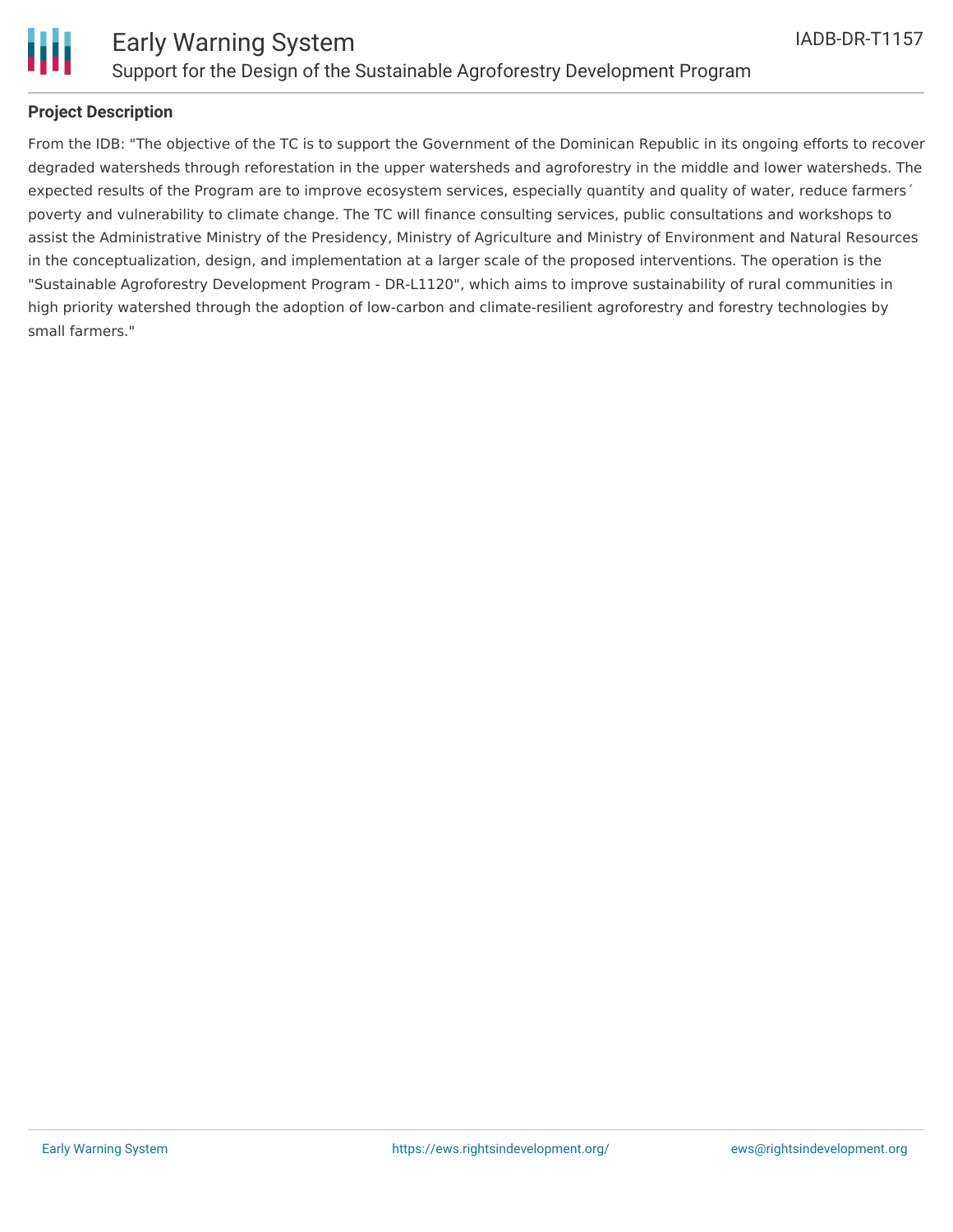

#### **Project Description**

From the IDB: "The objective of the TC is to support the Government of the Dominican Republic in its ongoing efforts to recover degraded watersheds through reforestation in the upper watersheds and agroforestry in the middle and lower watersheds. The expected results of the Program are to improve ecosystem services, especially quantity and quality of water, reduce farmers' poverty and vulnerability to climate change. The TC will finance consulting services, public consultations and workshops to assist the Administrative Ministry of the Presidency, Ministry of Agriculture and Ministry of Environment and Natural Resources in the conceptualization, design, and implementation at a larger scale of the proposed interventions. The operation is the "Sustainable Agroforestry Development Program - DR-L1120", which aims to improve sustainability of rural communities in high priority watershed through the adoption of low-carbon and climate-resilient agroforestry and forestry technologies by small farmers."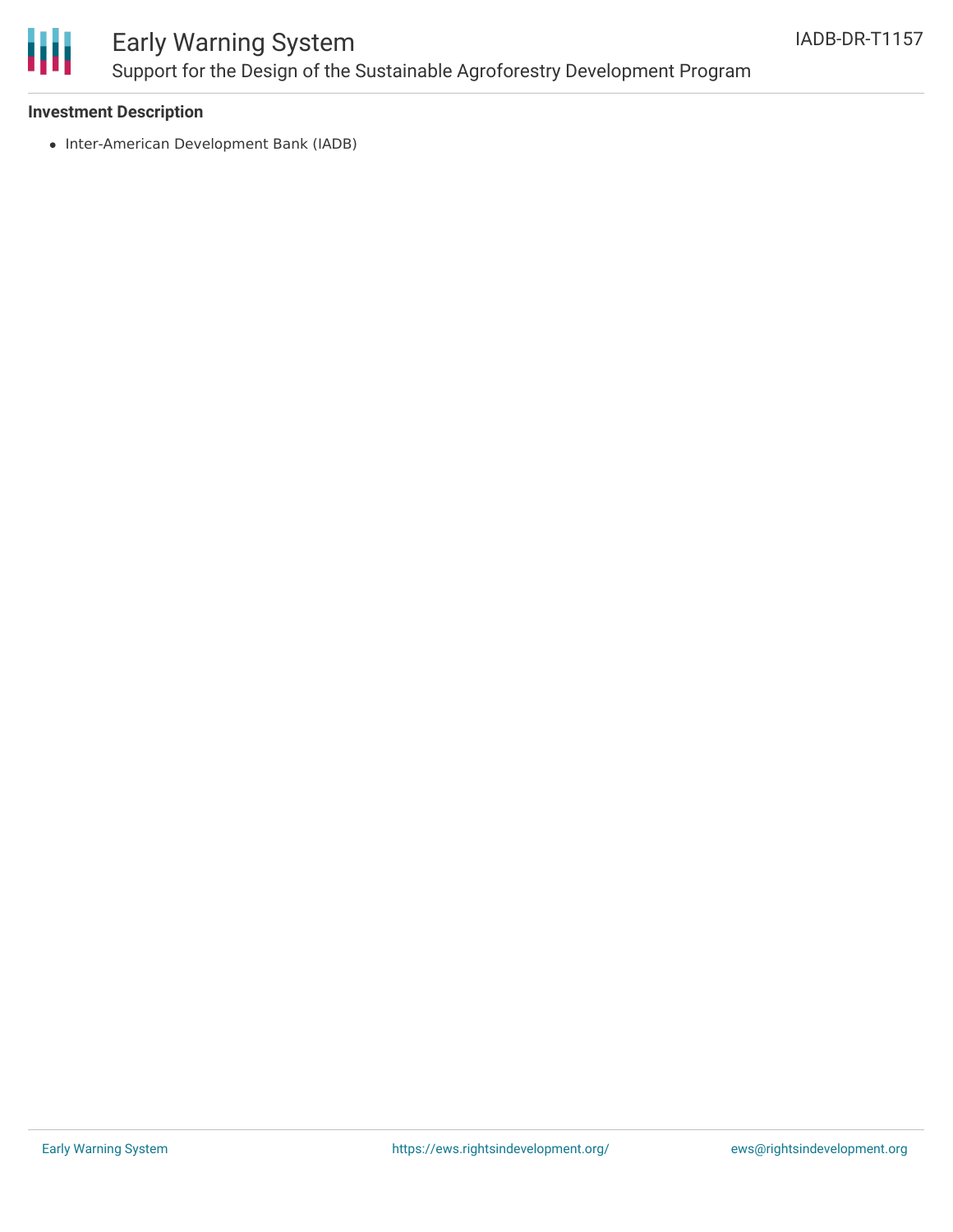

## Early Warning System Support for the Design of the Sustainable Agroforestry Development Program

#### **Investment Description**

• Inter-American Development Bank (IADB)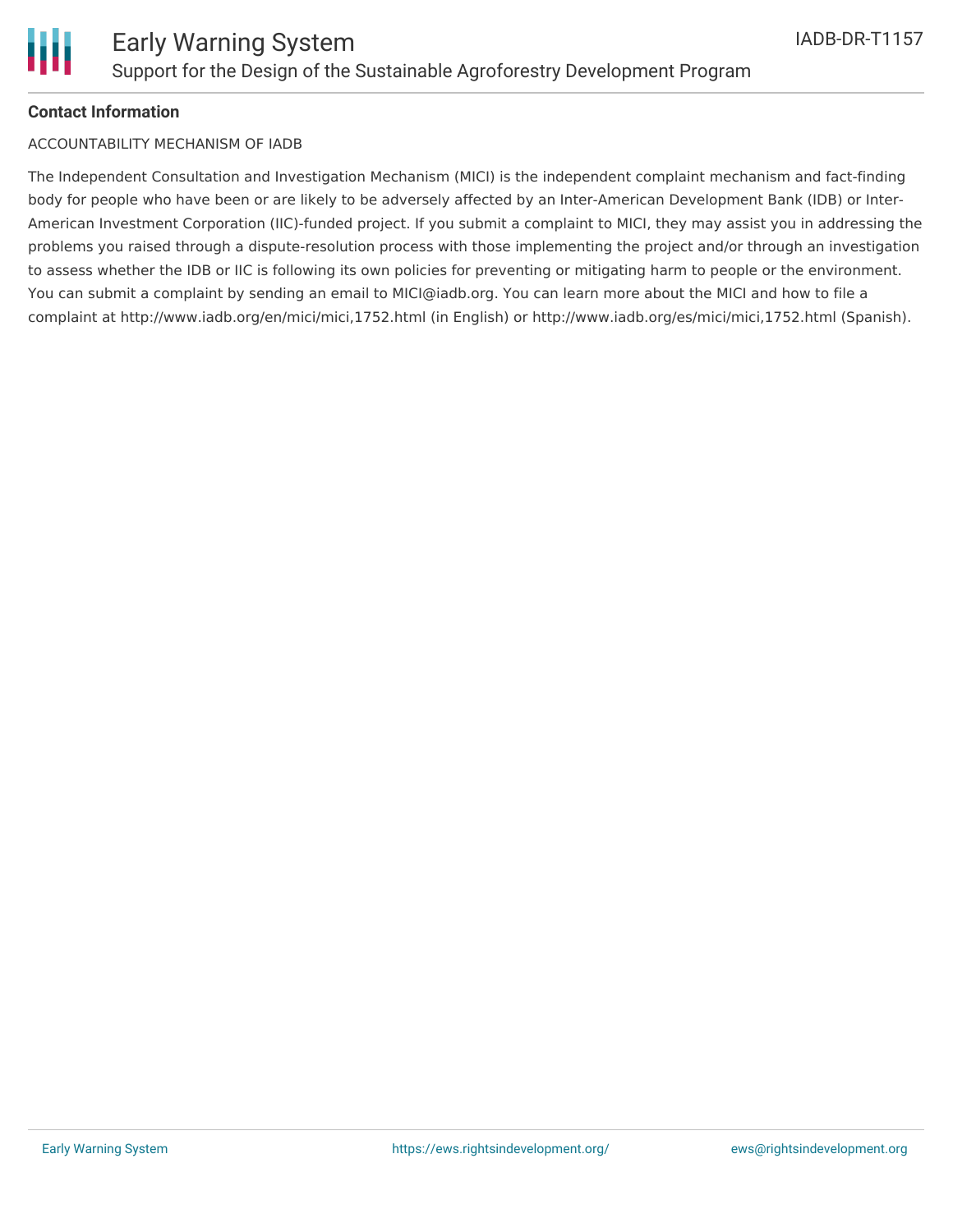

#### **Contact Information**

#### ACCOUNTABILITY MECHANISM OF IADB

The Independent Consultation and Investigation Mechanism (MICI) is the independent complaint mechanism and fact-finding body for people who have been or are likely to be adversely affected by an Inter-American Development Bank (IDB) or Inter-American Investment Corporation (IIC)-funded project. If you submit a complaint to MICI, they may assist you in addressing the problems you raised through a dispute-resolution process with those implementing the project and/or through an investigation to assess whether the IDB or IIC is following its own policies for preventing or mitigating harm to people or the environment. You can submit a complaint by sending an email to MICI@iadb.org. You can learn more about the MICI and how to file a complaint at http://www.iadb.org/en/mici/mici,1752.html (in English) or http://www.iadb.org/es/mici/mici,1752.html (Spanish).